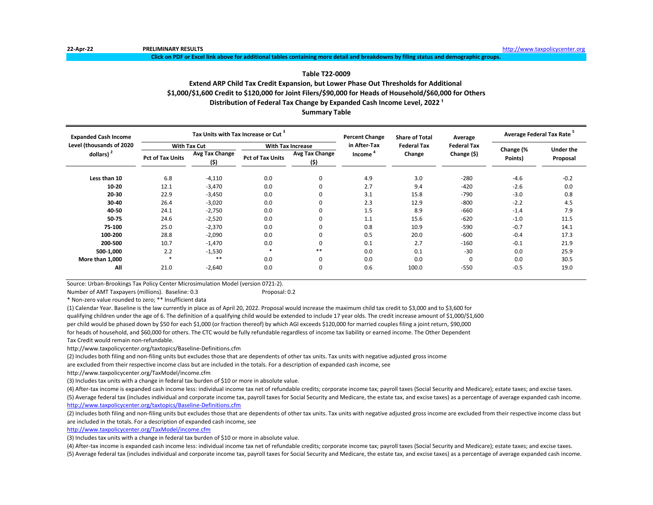**Click on PDF or Excel link above for additional tables containing more detail and breakdowns by filing status and demographic groups.**

# **Table T22-0009**

# **Extend ARP Child Tax Credit Expansion, but Lower Phase Out Thresholds for Additional \$1,000/\$1,600 Credit to \$120,000 for Joint Filers/\$90,000 for Heads of Household/\$60,000 for Others** Distribution of Federal Tax Change by Expanded Cash Income Level, 2022<sup>1</sup>

**Summary Table**

| <b>Expanded Cash Income</b> |                         |                       | Tax Units with Tax Increase or Cut <sup>3</sup> |                        | <b>Percent Change</b> | <b>Share of Total</b> | Average            | Average Federal Tax Rate <sup>5</sup> |                  |  |
|-----------------------------|-------------------------|-----------------------|-------------------------------------------------|------------------------|-----------------------|-----------------------|--------------------|---------------------------------------|------------------|--|
| Level (thousands of 2020    |                         | <b>With Tax Cut</b>   | <b>With Tax Increase</b>                        |                        | in After-Tax          | <b>Federal Tax</b>    | <b>Federal Tax</b> |                                       | <b>Under the</b> |  |
| dollars) $2$                | <b>Pct of Tax Units</b> | Avg Tax Change<br>(5) | <b>Pct of Tax Units</b>                         | Avg Tax Change<br>(\$) | Income                | Change                | Change (\$)        | Change (%<br>Points)                  | Proposal         |  |
| Less than 10                | 6.8                     | $-4,110$              | 0.0                                             | 0                      | 4.9                   | 3.0                   | $-280$             | $-4.6$                                | $-0.2$           |  |
| $10 - 20$                   | 12.1                    | $-3,470$              | 0.0                                             | 0                      | 2.7                   | 9.4                   | $-420$             | $-2.6$                                | 0.0              |  |
| 20-30                       | 22.9                    | $-3,450$              | 0.0                                             | 0                      | 3.1                   | 15.8                  | $-790$             | $-3.0$                                | 0.8              |  |
| 30-40                       | 26.4                    | $-3,020$              | 0.0                                             | 0                      | 2.3                   | 12.9                  | $-800$             | $-2.2$                                | 4.5              |  |
| 40-50                       | 24.1                    | $-2,750$              | 0.0                                             | 0                      | 1.5                   | 8.9                   | -660               | $-1.4$                                | 7.9              |  |
| 50-75                       | 24.6                    | $-2,520$              | 0.0                                             | 0                      | 1.1                   | 15.6                  | $-620$             | $-1.0$                                | 11.5             |  |
| 75-100                      | 25.0                    | $-2,370$              | 0.0                                             | 0                      | 0.8                   | 10.9                  | $-590$             | $-0.7$                                | 14.1             |  |
| 100-200                     | 28.8                    | $-2,090$              | 0.0                                             | 0                      | 0.5                   | 20.0                  | $-600$             | $-0.4$                                | 17.3             |  |
| 200-500                     | 10.7                    | $-1,470$              | 0.0                                             | 0                      | 0.1                   | 2.7                   | $-160$             | $-0.1$                                | 21.9             |  |
| 500-1,000                   | 2.2                     | $-1,530$              | $\ast$                                          | $***$                  | 0.0                   | 0.1                   | $-30$              | 0.0                                   | 25.9             |  |
| More than 1,000             |                         | **                    | 0.0                                             | 0                      | 0.0                   | 0.0                   | 0                  | 0.0                                   | 30.5             |  |
| All                         | 21.0                    | $-2,640$              | 0.0                                             | 0                      | 0.6                   | 100.0                 | $-550$             | $-0.5$                                | 19.0             |  |

Source: Urban-Brookings Tax Policy Center Microsimulation Model (version 0721-2).

Number of AMT Taxpayers (millions). Baseline: 0.3 Proposal: 0.2

\* Non-zero value rounded to zero; \*\* Insufficient data

(1) Calendar Year. Baseline is the law currently in place as of April 20, 2022. Proposal would increase the maximum child tax credit to \$3,000 and to \$3,600 for qualifying children under the age of 6. The definition of a qualifying child would be extended to include 17 year olds. The credit increase amount of \$1,000/\$1,600 per child would be phased down by \$50 for each \$1,000 (or fraction thereof) by which AGI exceeds \$120,000 for married couples filing a joint return, \$90,000 for heads of household, and \$60,000 for others. The CTC would be fully refundable regardless of income tax liability or earned income. The Other Dependent Tax Credit would remain non-refundable.

http://www.taxpolicycenter.org/taxtopics/Baseline-Definitions.cfm

(2) Includes both filing and non-filing units but excludes those that are dependents of other tax units. Tax units with negative adjusted gross income

are excluded from their respective income class but are included in the totals. For a description of expanded cash income, see

http://www.taxpolicycenter.org/TaxModel/income.cfm

(3) Includes tax units with a change in federal tax burden of \$10 or more in absolute value.

(4) After-tax income is expanded cash income less: individual income tax net of refundable credits; corporate income tax; payroll taxes (Social Security and Medicare); estate taxes; and excise taxes. (5) Average federal tax (includes individual and corporate income tax, payroll taxes for Social Security and Medicare, the estate tax, and excise taxes) as a percentage of average expanded cash income.

<http://www.taxpolicycenter.org/taxtopics/Baseline-Definitions.cfm>

(2) Includes both filing and non-filing units but excludes those that are dependents of other tax units. Tax units with negative adjusted gross income are excluded from their respective income class but are included in the totals. For a description of expanded cash income, see

[http://www.taxpolicycente](http://www.taxpolicycenter.org/TaxModel/income.cfm)r.org/TaxModel/income.cfm

(3) Includes tax units with a change in federal tax burden of \$10 or more in absolute value.

(4) After-tax income is expanded cash income less: individual income tax net of refundable credits; corporate income tax; payroll taxes (Social Security and Medicare); estate taxes; and excise taxes.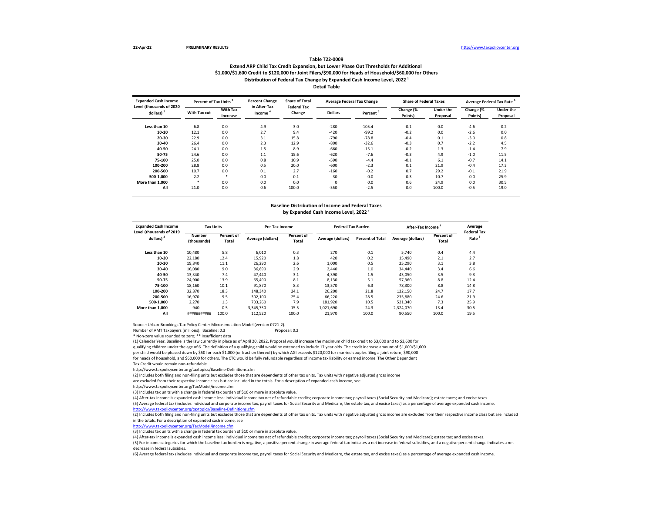### **Extend ARP Child Tax Credit Expansion, but Lower Phase Out Thresholds for Additional \$1,000/\$1,600 Credit to \$120,000 for Joint Filers/\$90,000 for Heads of Household/\$60,000 for Others Table T22-0009 Distribution of Federal Tax Change by Expanded Cash Income Level, 2022 ¹ Detail Table**

| <b>Expanded Cash Income</b><br>Level (thousands of 2020 | Percent of Tax Units <sup>3</sup> |                             | <b>Percent Change</b><br>in After-Tax | <b>Share of Total</b><br><b>Federal Tax</b> |                | <b>Average Federal Tax Change</b> | <b>Share of Federal Taxes</b> |                              |                      | Average Federal Tax Rate     |
|---------------------------------------------------------|-----------------------------------|-----------------------------|---------------------------------------|---------------------------------------------|----------------|-----------------------------------|-------------------------------|------------------------------|----------------------|------------------------------|
| dollars) <sup>2</sup>                                   | With Tax cut                      | <b>With Tax</b><br>Increase | Income                                | Change                                      | <b>Dollars</b> | Percent <sup>3</sup>              | Change (%<br>Points)          | <b>Under the</b><br>Proposal | Change (%<br>Points) | <b>Under the</b><br>Proposal |
| Less than 10                                            | 6.8                               | 0.0                         | 4.9                                   | 3.0                                         | $-280$         | $-105.4$                          | $-0.1$                        | 0.0                          | $-4.6$               | $-0.2$                       |
| 10-20                                                   | 12.1                              | 0.0                         | 2.7                                   | 9.4                                         | $-420$         | $-99.2$                           | $-0.2$                        | 0.0                          | $-2.6$               | 0.0                          |
| 20-30                                                   | 22.9                              | 0.0                         | 3.1                                   | 15.8                                        | $-790$         | $-78.8$                           | $-0.4$                        | 0.1                          | $-3.0$               | 0.8                          |
| 30-40                                                   | 26.4                              | 0.0                         | 2.3                                   | 12.9                                        | $-800$         | $-32.6$                           | $-0.3$                        | 0.7                          | $-2.2$               | 4.5                          |
| 40-50                                                   | 24.1                              | 0.0                         | 1.5                                   | 8.9                                         | $-660$         | $-15.1$                           | $-0.2$                        | 1.3                          | $-1.4$               | 7.9                          |
| 50-75                                                   | 24.6                              | 0.0                         | 1.1                                   | 15.6                                        | $-620$         | $-7.6$                            | $-0.3$                        | 4.9                          | $-1.0$               | 11.5                         |
| 75-100                                                  | 25.0                              | 0.0                         | 0.8                                   | 10.9                                        | $-590$         | $-4.4$                            | $-0.1$                        | 6.1                          | $-0.7$               | 14.1                         |
| 100-200                                                 | 28.8                              | 0.0                         | 0.5                                   | 20.0                                        | $-600$         | $-2.3$                            | 0.1                           | 21.9                         | $-0.4$               | 17.3                         |
| 200-500                                                 | 10.7                              | 0.0                         | 0.1                                   | 2.7                                         | $-160$         | $-0.2$                            | 0.7                           | 29.2                         | $-0.1$               | 21.9                         |
| 500-1.000                                               | 2.2                               | $\star$                     | 0.0                                   | 0.1                                         | $-30$          | 0.0                               | 0.3                           | 10.7                         | 0.0                  | 25.9                         |
| More than 1.000                                         |                                   | 0.0                         | 0.0                                   | 0.0                                         | $\Omega$       | 0.0                               | 0.6                           | 24.9                         | 0.0                  | 30.5                         |
| All                                                     | 21.0                              | 0.0                         | 0.6                                   | 100.0                                       | $-550$         | $-2.5$                            | 0.0                           | 100.0                        | $-0.5$               | 19.0                         |

#### **Baseline Distribution of Income and Federal Taxes** by Expanded Cash Income Level, 2022<sup>1</sup>

| <b>Expanded Cash Income</b><br>Level (thousands of 2019 | <b>Tax Units</b>      |                     | Pre-Tax Income    |                     | <b>Federal Tax Burden</b> |                         | After-Tax Income  |                     | Average<br><b>Federal Tax</b> |
|---------------------------------------------------------|-----------------------|---------------------|-------------------|---------------------|---------------------------|-------------------------|-------------------|---------------------|-------------------------------|
| dollars) $2$                                            | Number<br>(thousands) | Percent of<br>Total | Average (dollars) | Percent of<br>Total | Average (dollars)         | <b>Percent of Total</b> | Average (dollars) | Percent of<br>Total | Rate <sup>'</sup>             |
| Less than 10                                            | 10.480                | 5.8                 | 6.010             | 0.3                 | 270                       | 0.1                     | 5.740             | 0.4                 | 4.4                           |
| 10-20                                                   | 22,180                | 12.4                | 15.920            | 1.8                 | 420                       | 0.2                     | 15.490            | 2.1                 | 2.7                           |
| 20-30                                                   | 19,840                | 11.1                | 26.290            | 2.6                 | 1,000                     | 0.5                     | 25,290            | 3.1                 | 3.8                           |
| 30-40                                                   | 16,080                | 9.0                 | 36.890            | 2.9                 | 2.440                     | 1.0                     | 34,440            | 3.4                 | 6.6                           |
| 40-50                                                   | 13,340                | 7.4                 | 47.440            | 3.1                 | 4.390                     | 1.5                     | 43.050            | 3.5                 | 9.3                           |
| 50-75                                                   | 24,900                | 13.9                | 65.490            | 8.1                 | 8.130                     | 5.1                     | 57.360            | 8.8                 | 12.4                          |
| 75-100                                                  | 18,160                | 10.1                | 91.870            | 8.3                 | 13.570                    | 6.3                     | 78,300            | 8.8                 | 14.8                          |
| 100-200                                                 | 32,870                | 18.3                | 148,340           | 24.1                | 26,200                    | 21.8                    | 122,150           | 24.7                | 17.7                          |
| 200-500                                                 | 16,970                | 9.5                 | 302.100           | 25.4                | 66,220                    | 28.5                    | 235.880           | 24.6                | 21.9                          |
| 500-1.000                                               | 2.270                 | 1.3                 | 703.260           | 7.9                 | 181.920                   | 10.5                    | 521.340           | 7.3                 | 25.9                          |
| More than 1.000                                         | 940                   | 0.5                 | 3.345.750         | 15.5                | 1,021,690                 | 24.3                    | 2.324.070         | 13.4                | 30.5                          |
| All                                                     | ###########           | 100.0               | 112,520           | 100.0               | 21,970                    | 100.0                   | 90,550            | 100.0               | 19.5                          |

Source: Urban-Brookings Tax Policy Center Microsimulation Model (version 0721-2).

Number of AMT Taxpayers (millions). Baseline: 0.3 Proposal: 0.2

\* Non-zero value rounded to zero; \*\* Insufficient data

(1) Calendar Year. Baseline is the law currently in place as of April 20, 2022. Proposal would increase the maximum child tax credit to \$3,000 and to \$3,600 for qualifying children under the age of 6. The definition of a qualifying child would be extended to include 17 year olds. The credit increase amount of \$1,000/\$1,600 per child would be phased down by \$50 for each \$1,000 (or fraction thereof) by which AGI exceeds \$120,000 for married couples filing a joint return, \$90,000 for heads of household, and \$60,000 for others. The CTC would be fully refundable regardless of income tax liability or earned income. The Other Dependent Tax Credit would remain non-refundable.

http://www.taxpolicycenter.org/taxtopics/Baseline-Definitions.cfm

(2) Includes both filing and non-filing units but excludes those that are dependents of other tax units. Tax units with negative adjusted gross income

are excluded from their respective income class but are included in the totals. For a description of expanded cash income, see

http://www.taxpolicycenter.org/TaxModel/income.cfm

(3) Includes tax units with a change in federal tax burden of \$10 or more in absolute value.

(4) After-tax income is expanded cash income less: individual income tax net of refundable credits; corporate income tax; payroll taxes (Social Security and Medicare); estate taxes; and excise taxes.

(5) Average federal tax (includes individual and corporate income tax, payroll taxes for Social Security and Medicare, the estate tax, and excise taxes) as a percentage of average expanded cash income. <http://www.taxpolicycenter.org/taxtopics/Baseline-Definitions.cfm>

(2) Includes both filing and non-filing units but excludes those that are dependents of other tax units. Tax units with negative adjusted gross income are excluded from their respective income class but are included in the totals. For a description of expanded cash income, see

[http://www.taxpolicycente](http://www.taxpolicycenter.org/TaxModel/income.cfm)r.org/TaxModel/income.cfm

(3) Includes tax units with a change in federal tax burden of \$10 or more in absolute value.

(4) After-tax income is expanded cash income less: individual income tax net of refundable credits; corporate income tax; payroll taxes (Social Security and Medicare); estate tax; and excise taxes.

(5) For income categories for which the baseline tax burden is negative, a positive percent change in average federal tax indicates a net increase in federal subsidies, and a negative percent change indicates a net decrease in federal subsidies.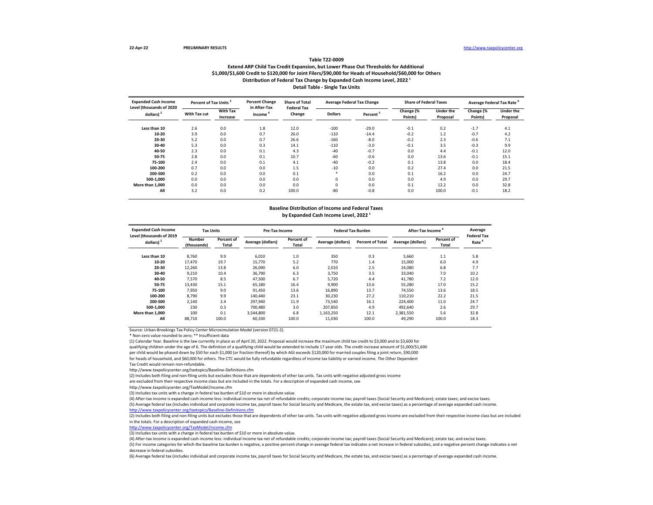## **Extend ARP Child Tax Credit Expansion, but Lower Phase Out Thresholds for Additional \$1,000/\$1,600 Credit to \$120,000 for Joint Filers/\$90,000 for Heads of Household/\$60,000 for Others Table T22-0009** Distribution of Federal Tax Change by Expanded Cash Income Level, 2022<sup>1</sup> **Detail Table - Single Tax Units**

| <b>Expanded Cash Income</b><br>Level (thousands of 2020 | Percent of Tax Units |                             | <b>Percent Change</b><br>in After-Tax | <b>Share of Total</b><br><b>Federal Tax</b> |                | <b>Average Federal Tax Change</b> | <b>Share of Federal Taxes</b> |                              | Average Federal Tax Rate |                              |
|---------------------------------------------------------|----------------------|-----------------------------|---------------------------------------|---------------------------------------------|----------------|-----------------------------------|-------------------------------|------------------------------|--------------------------|------------------------------|
| dollars) <sup>2</sup>                                   | With Tax cut         | <b>With Tax</b><br>Increase | Income                                | Change                                      | <b>Dollars</b> | Percent <sup>3</sup>              | Change (%<br>Points)          | <b>Under the</b><br>Proposal | Change (%<br>Points)     | <b>Under the</b><br>Proposal |
| Less than 10                                            | 2.6                  | 0.0                         | 1.8                                   | 12.0                                        | $-100$         | $-29.0$                           | $-0.1$                        | 0.2                          | $-1.7$                   | 4.1                          |
| 10-20                                                   | 3.9                  | 0.0                         | 0.7                                   | 26.0                                        | $-110$         | $-14.4$                           | $-0.2$                        | 1.2                          | $-0.7$                   | 4.2                          |
| 20-30                                                   | 5.2                  | 0.0                         | 0.7                                   | 26.6                                        | $-160$         | $-8.0$                            | $-0.2$                        | 2.3                          | $-0.6$                   | 7.1                          |
| 30-40                                                   | 5.3                  | 0.0                         | 0.3                                   | 14.1                                        | $-110$         | $-3.0$                            | $-0.1$                        | 3.5                          | $-0.3$                   | 9.9                          |
| 40-50                                                   | 2.3                  | 0.0                         | 0.1                                   | 4.3                                         | $-40$          | $-0.7$                            | 0.0                           | 4.4                          | $-0.1$                   | 12.0                         |
| 50-75                                                   | 2.8                  | 0.0                         | 0.1                                   | 10.7                                        | $-60$          | $-0.6$                            | 0.0                           | 13.6                         | $-0.1$                   | 15.1                         |
| 75-100                                                  | 2.4                  | 0.0                         | 0.1                                   | 4.1                                         | $-40$          | $-0.2$                            | 0.1                           | 13.8                         | 0.0                      | 18.4                         |
| 100-200                                                 | 0.7                  | 0.0                         | 0.0                                   | 1.5                                         | $-10$          | 0.0                               | 0.2                           | 27.4                         | 0.0                      | 21.5                         |
| 200-500                                                 | 0.2                  | 0.0                         | 0.0                                   | 0.1                                         | ×              | 0.0                               | 0.1                           | 16.2                         | 0.0                      | 24.7                         |
| 500-1.000                                               | 0.0                  | 0.0                         | 0.0                                   | 0.0                                         |                | 0.0                               | 0.0                           | 4.9                          | 0.0                      | 29.7                         |
| More than 1.000                                         | 0.0                  | 0.0                         | 0.0                                   | 0.0                                         |                | 0.0                               | 0.1                           | 12.2                         | 0.0                      | 32.8                         |
| All                                                     | 3.2                  | 0.0                         | 0.2                                   | 100.0                                       | $-80$          | $-0.8$                            | 0.0                           | 100.0                        | $-0.1$                   | 18.2                         |

#### **Baseline Distribution of Income and Federal Taxes** by Expanded Cash Income Level, 2022<sup>1</sup>

| <b>Expanded Cash Income</b><br>Level (thousands of 2019 | <b>Tax Units</b>      |                     | <b>Pre-Tax Income</b> |                     | <b>Federal Tax Burden</b> |                         | After-Tax Income  |                     | Average<br><b>Federal Tax</b> |
|---------------------------------------------------------|-----------------------|---------------------|-----------------------|---------------------|---------------------------|-------------------------|-------------------|---------------------|-------------------------------|
| dollars) $2$                                            | Number<br>(thousands) | Percent of<br>Total | Average (dollars)     | Percent of<br>Total | Average (dollars)         | <b>Percent of Total</b> | Average (dollars) | Percent of<br>Total | Rate <sup>b</sup>             |
| Less than 10                                            | 8.760                 | 9.9                 | 6.010                 | 1.0                 | 350                       | 0.3                     | 5.660             | 1.1                 | 5.8                           |
| 10-20                                                   | 17.470                | 19.7                | 15.770                | 5.2                 | 770                       | 1.4                     | 15,000            | 6.0                 | 4.9                           |
| 20-30                                                   | 12,260                | 13.8                | 26,090                | 6.0                 | 2.010                     | 2.5                     | 24.080            | 6.8                 | 7.7                           |
| 30-40                                                   | 9,210                 | 10.4                | 36,790                | 6.3                 | 3,750                     | 3.5                     | 33,040            | 7.0                 | 10.2                          |
| 40-50                                                   | 7.570                 | 8.5                 | 47,500                | 6.7                 | 5.720                     | 4.4                     | 41,780            | 7.2                 | 12.0                          |
| 50-75                                                   | 13.430                | 15.1                | 65.180                | 16.4                | 9.900                     | 13.6                    | 55.280            | 17.0                | 15.2                          |
| 75-100                                                  | 7.950                 | 9.0                 | 91.450                | 13.6                | 16.890                    | 13.7                    | 74.550            | 13.6                | 18.5                          |
| 100-200                                                 | 8,790                 | 9.9                 | 140.440               | 23.1                | 30.230                    | 27.2                    | 110,210           | 22.2                | 21.5                          |
| 200-500                                                 | 2,140                 | 2.4                 | 297.940               | 11.9                | 73.540                    | 16.1                    | 224.400           | 11.0                | 24.7                          |
| 500-1.000                                               | 230                   | 0.3                 | 700.480               | 3.0                 | 207.850                   | 4.9                     | 492.640           | 2.6                 | 29.7                          |
| More than 1.000                                         | 100                   | 0.1                 | 3.544.800             | 6.8                 | 1,163,250                 | 12.1                    | 2,381,550         | 5.6                 | 32.8                          |
| All                                                     | 88.710                | 100.0               | 60,330                | 100.0               | 11.030                    | 100.0                   | 49.290            | 100.0               | 18.3                          |

Source: Urban-Brookings Tax Policy Center Microsimulation Model (version 0721-2).

\* Non-zero value rounded to zero; \*\* Insufficient data

(1) Calendar Year. Baseline is the law currently in place as of April 20, 2022. Proposal would increase the maximum child tax credit to \$3,000 and to \$3,600 for qualifying children under the age of 6. The definition of a qualifying child would be extended to include 17 year olds. The credit increase amount of \$1,000/\$1,600 per child would be phased down by \$50 for each \$1,000 (or fraction thereof) by which AGI exceeds \$120,000 for married couples filing a joint return, \$90,000 for heads of household, and \$60,000 for others. The CTC would be fully refundable regardless of income tax liability or earned income. The Other Dependent Tax Credit would remain non-refundable.

http://www.taxpolicycenter.org/taxtopics/Baseline-Definitions.cfm

(2) Includes both filing and non-filing units but excludes those that are dependents of other tax units. Tax units with negative adjusted gross income

are excluded from their respective income class but are included in the totals. For a description of expanded cash income, see

http://www.taxpolicycenter.org/TaxModel/income.cfm

(3) Includes tax units with a change in federal tax burden of \$10 or more in absolute value.

(4) After-tax income is expanded cash income less: individual income tax net of refundable credits; corporate income tax; payroll taxes (Social Security and Medicare); estate taxes; and excise taxes.

(5) Average federal tax (includes individual and corporate income tax, payroll taxes for Social Security and Medicare, the estate tax, and excise taxes) as a percentage of average expanded cash income.

enter.org/taxtopics/Baseline-Definitions.cf

(2) Includes both filing and non-filing units but excludes those that are dependents of other tax units. Tax units with negative adjusted gross income are excluded from their respective income class but are included in the totals. For a description of expanded cash income, see

[http://www.taxpolicycente](http://www.taxpolicycenter.org/TaxModel/income.cfm)r.org/TaxModel/income.cfm

(3) Includes tax units with a change in federal tax burden of \$10 or more in absolute value.

(4) After-tax income is expanded cash income less: individual income tax net of refundable credits; corporate income tax; payroll taxes (Social Security and Medicare); estate tax; and excise taxes.

(5) For income categories for which the baseline tax burden is negative, a positive percent change in average federal tax indicates a net increase in federal subsidies, and a negative percent change indicates a net decrease in federal subsidies.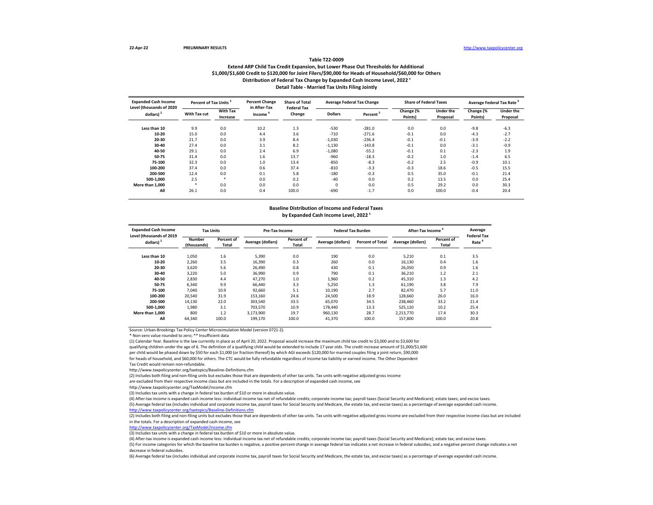#### **Extend ARP Child Tax Credit Expansion, but Lower Phase Out Thresholds for Additional \$1,000/\$1,600 Credit to \$120,000 for Joint Filers/\$90,000 for Heads of Household/\$60,000 for Others Table T22-0009** Distribution of Federal Tax Change by Expanded Cash Income Level, 2022<sup>1</sup> **Detail Table - Married Tax Units Filing Jointly**

| <b>Expanded Cash Income</b><br>Level (thousands of 2020 | Percent of Tax Units |                      | <b>Percent Change</b><br>in After-Tax | <b>Share of Total</b><br><b>Federal Tax</b> |                | <b>Average Federal Tax Change</b> | <b>Share of Federal Taxes</b> |                              | Average Federal Tax Rate |                              |
|---------------------------------------------------------|----------------------|----------------------|---------------------------------------|---------------------------------------------|----------------|-----------------------------------|-------------------------------|------------------------------|--------------------------|------------------------------|
| dollars) <sup>2</sup>                                   | With Tax cut         | With Tax<br>Increase | Income                                | Change                                      | <b>Dollars</b> | Percent <sup>3</sup>              | Change (%<br>Points)          | <b>Under the</b><br>Proposal | Change (%<br>Points)     | <b>Under the</b><br>Proposal |
| Less than 10                                            | 9.9                  | 0.0                  | 10.2                                  | 1.3                                         | $-530$         | $-281.0$                          | 0.0                           | 0.0                          | $-9.8$                   | $-6.3$                       |
| 10-20                                                   | 15.0                 | 0.0                  | 4.4                                   | 3.6                                         | $-710$         | $-271.6$                          | $-0.1$                        | 0.0                          | $-4.3$                   | $-2.7$                       |
| 20-30                                                   | 21.7                 | 0.0                  | 3.9                                   | 8.4                                         | $-1,030$       | $-236.4$                          | $-0.1$                        | $-0.1$                       | $-3.9$                   | $-2.2$                       |
| 30-40                                                   | 27.4                 | 0.0                  | 3.1                                   | 8.2                                         | $-1,130$       | $-143.8$                          | $-0.1$                        | 0.0                          | $-3.1$                   | $-0.9$                       |
| 40-50                                                   | 29.1                 | 0.0                  | 2.4                                   | 6.9                                         | $-1,080$       | $-55.2$                           | $-0.1$                        | 0.1                          | $-2.3$                   | 1.9                          |
| 50-75                                                   | 31.4                 | 0.0                  | 1.6                                   | 13.7                                        | $-960$         | $-18.3$                           | $-0.2$                        | 1.0                          | $-1.4$                   | 6.5                          |
| 75-100                                                  | 32.3                 | 0.0                  | 1.0                                   | 13.4                                        | $-850$         | $-8.3$                            | $-0.2$                        | 2.5                          | $-0.9$                   | 10.1                         |
| 100-200                                                 | 37.4                 | 0.0                  | 0.6                                   | 37.4                                        | $-810$         | $-3.3$                            | $-0.3$                        | 18.6                         | $-0.5$                   | 15.5                         |
| 200-500                                                 | 12.4                 | 0.0                  | 0.1                                   | 5.8                                         | $-180$         | $-0.3$                            | 0.5                           | 35.0                         | $-0.1$                   | 21.4                         |
| 500-1.000                                               | 2.5                  | $\ast$               | 0.0                                   | 0.2                                         | $-40$          | 0.0                               | 0.2                           | 13.5                         | 0.0                      | 25.4                         |
| More than 1.000                                         | -86                  | 0.0                  | 0.0                                   | 0.0                                         | $\Omega$       | 0.0                               | 0.5                           | 29.2                         | 0.0                      | 30.3                         |
| All                                                     | 26.1                 | 0.0                  | 0.4                                   | 100.0                                       | $-690$         | $-1.7$                            | 0.0                           | 100.0                        | $-0.4$                   | 20.4                         |

#### **Baseline Distribution of Income and Federal Taxes** by Expanded Cash Income Level, 2022<sup>1</sup>

| <b>Expanded Cash Income</b><br>Level (thousands of 2019 | <b>Tax Units</b>      |                     | Pre-Tax Income    |                     | <b>Federal Tax Burden</b> |                         | After-Tax Income  |                     | Average<br><b>Federal Tax</b> |
|---------------------------------------------------------|-----------------------|---------------------|-------------------|---------------------|---------------------------|-------------------------|-------------------|---------------------|-------------------------------|
| dollars) <sup>2</sup>                                   | Number<br>(thousands) | Percent of<br>Total | Average (dollars) | Percent of<br>Total | Average (dollars)         | <b>Percent of Total</b> | Average (dollars) | Percent of<br>Total | Rate <sup>b</sup>             |
| Less than 10                                            | 1,050                 | 1.6                 | 5.390             | 0.0                 | 190                       | 0.0                     | 5.210             | 0.1                 | 3.5                           |
| $10 - 20$                                               | 2,260                 | 3.5                 | 16,390            | 0.3                 | 260                       | 0.0                     | 16,130            | 0.4                 | 1.6                           |
| 20-30                                                   | 3,620                 | 5.6                 | 26,490            | 0.8                 | 430                       | 0.1                     | 26,050            | 0.9                 | 1.6                           |
| 30-40                                                   | 3,220                 | 5.0                 | 36,990            | 0.9                 | 790                       | 0.1                     | 36,210            | 1.2                 | 2.1                           |
| 40-50                                                   | 2,830                 | 4.4                 | 47,270            | 1.0                 | 1,960                     | 0.2                     | 45,310            | 1.3                 | 4.2                           |
| 50-75                                                   | 6.340                 | 9.9                 | 66,440            | 3.3                 | 5.250                     | 1.3                     | 61,190            | 3.8                 | 7.9                           |
| 75-100                                                  | 7.040                 | 10.9                | 92.660            | 5.1                 | 10.190                    | 2.7                     | 82,470            | 5.7                 | 11.0                          |
| 100-200                                                 | 20.540                | 31.9                | 153.160           | 24.6                | 24.500                    | 18.9                    | 128,660           | 26.0                | 16.0                          |
| 200-500                                                 | 14,130                | 22.0                | 303.540           | 33.5                | 65.070                    | 34.5                    | 238.460           | 33.2                | 21.4                          |
| 500-1.000                                               | 1,980                 | 3.1                 | 703,570           | 10.9                | 178,440                   | 13.3                    | 525,120           | 10.2                | 25.4                          |
| More than 1.000                                         | 800                   | 1.2                 | 3,173,900         | 19.7                | 960,130                   | 28.7                    | 2,213,770         | 17.4                | 30.3                          |
| All                                                     | 64.340                | 100.0               | 199,170           | 100.0               | 41.370                    | 100.0                   | 157.800           | 100.0               | 20.8                          |

Source: Urban-Brookings Tax Policy Center Microsimulation Model (version 0721-2).

\* Non-zero value rounded to zero; \*\* Insufficient data

(1) Calendar Year. Baseline is the law currently in place as of April 20, 2022. Proposal would increase the maximum child tax credit to \$3,000 and to \$3,600 for qualifying children under the age of 6. The definition of a qualifying child would be extended to include 17 year olds. The credit increase amount of \$1,000/\$1,600 per child would be phased down by \$50 for each \$1,000 (or fraction thereof) by which AGI exceeds \$120,000 for married couples filing a joint return, \$90,000 for heads of household, and \$60,000 for others. The CTC would be fully refundable regardless of income tax liability or earned income. The Other Dependent Tax Credit would remain non-refundable.

http://www.taxpolicycenter.org/taxtopics/Baseline-Definitions.cfm

(2) Includes both filing and non-filing units but excludes those that are dependents of other tax units. Tax units with negative adjusted gross income

are excluded from their respective income class but are included in the totals. For a description of expanded cash income, see

http://www.taxpolicycenter.org/TaxModel/income.cfm

(3) Includes tax units with a change in federal tax burden of \$10 or more in absolute value.

(4) After-tax income is expanded cash income less: individual income tax net of refundable credits; corporate income tax; payroll taxes (Social Security and Medicare); estate taxes; and excise taxes.

(5) Average federal tax (includes individual and corporate income tax, payroll taxes for Social Security and Medicare, the estate tax, and excise taxes) as a percentage of average expanded cash income.

enter.org/taxtopics/Baseline-Definitions.cf

(2) Includes both filing and non-filing units but excludes those that are dependents of other tax units. Tax units with negative adjusted gross income are excluded from their respective income class but are included in the totals. For a description of expanded cash income, see

[http://www.taxpolicycente](http://www.taxpolicycenter.org/TaxModel/income.cfm)r.org/TaxModel/income.cfm

(3) Includes tax units with a change in federal tax burden of \$10 or more in absolute value.

(4) After-tax income is expanded cash income less: individual income tax net of refundable credits; corporate income tax; payroll taxes (Social Security and Medicare); estate tax; and excise taxes.

(5) For income categories for which the baseline tax burden is negative, a positive percent change in average federal tax indicates a net increase in federal subsidies, and a negative percent change indicates a net decrease in federal subsidies.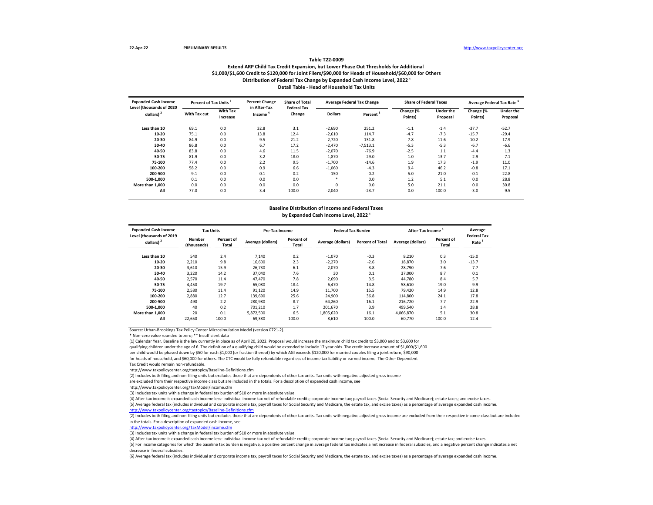#### **Extend ARP Child Tax Credit Expansion, but Lower Phase Out Thresholds for Additional \$1,000/\$1,600 Credit to \$120,000 for Joint Filers/\$90,000 for Heads of Household/\$60,000 for Others Table T22-0009** Distribution of Federal Tax Change by Expanded Cash Income Level, 2022<sup>1</sup> **Detail Table - Head of Household Tax Units**

| <b>Expanded Cash Income</b><br>Level (thousands of 2020 | Percent of Tax Units |                      | <b>Percent Change</b><br>in After-Tax | <b>Share of Total</b><br><b>Federal Tax</b> |                | <b>Average Federal Tax Change</b> | <b>Share of Federal Taxes</b> |                              | Average Federal Tax Rate |                              |
|---------------------------------------------------------|----------------------|----------------------|---------------------------------------|---------------------------------------------|----------------|-----------------------------------|-------------------------------|------------------------------|--------------------------|------------------------------|
| dollars) <sup>2</sup>                                   | With Tax cut         | With Tax<br>Increase | Change<br>Income                      |                                             | <b>Dollars</b> | Percent <sup>3</sup>              | Change (%<br>Points)          | <b>Under the</b><br>Proposal | Change (%<br>Points)     | <b>Under the</b><br>Proposal |
| Less than 10                                            | 69.1                 | 0.0                  | 32.8                                  | 3.1                                         | $-2,690$       | 251.2                             | $-1.1$                        | $-1.4$                       | $-37.7$                  | $-52.7$                      |
| 10-20                                                   | 75.1                 | 0.0                  | 13.8                                  | 12.4                                        | $-2,610$       | 114.7                             | $-4.7$                        | $-7.3$                       | $-15.7$                  | $-29.4$                      |
| 20-30                                                   | 84.9                 | 0.0                  | 9.5                                   | 21.2                                        | $-2.720$       | 131.8                             | $-7.8$                        | $-11.6$                      | $-10.2$                  | $-17.9$                      |
| 30-40                                                   | 86.8                 | 0.0                  | 6.7                                   | 17.2                                        | $-2,470$       | $-7,513.1$                        | $-5.3$                        | $-5.3$                       | $-6.7$                   | $-6.6$                       |
| 40-50                                                   | 83.8                 | 0.0                  | 4.6                                   | 11.5                                        | $-2,070$       | $-76.9$                           | $-2.5$                        | 1.1                          | $-4.4$                   | 1.3                          |
| 50-75                                                   | 81.9                 | 0.0                  | 3.2                                   | 18.0                                        | $-1,870$       | $-29.0$                           | $-1.0$                        | 13.7                         | $-2.9$                   | 7.1                          |
| 75-100                                                  | 77.4                 | 0.0                  | 2.2                                   | 9.5                                         | $-1,700$       | $-14.6$                           | 1.9                           | 17.3                         | $-1.9$                   | 11.0                         |
| 100-200                                                 | 58.2                 | 0.0                  | 0.9                                   | 6.6                                         | $-1,060$       | $-4.3$                            | 9.4                           | 46.2                         | $-0.8$                   | 17.1                         |
| 200-500                                                 | 9.1                  | 0.0                  | 0.1                                   | 0.2                                         | $-150$         | $-0.2$                            | 5.0                           | 21.0                         | $-0.1$                   | 22.8                         |
| 500-1.000                                               | 0.1                  | 0.0                  | 0.0                                   | 0.0                                         | $\ast$         | 0.0                               | 1.2                           | 5.1                          | 0.0                      | 28.8                         |
| More than 1.000                                         | 0.0                  | 0.0                  | 0.0                                   | 0.0                                         | $\Omega$       | 0.0                               | 5.0                           | 21.1                         | 0.0                      | 30.8                         |
| All                                                     | 77.0                 | 0.0                  | 3.4                                   | 100.0                                       | $-2,040$       | $-23.7$                           | 0.0                           | 100.0                        | $-3.0$                   | 9.5                          |

#### **Baseline Distribution of Income and Federal Taxes** by Expanded Cash Income Level, 2022<sup>1</sup>

| <b>Expanded Cash Income</b><br>Level (thousands of 2019 | <b>Tax Units</b>      |                     | Pre-Tax Income    |                     | <b>Federal Tax Burden</b> |                         | After-Tax Income  |                     | Average<br><b>Federal Tax</b> |
|---------------------------------------------------------|-----------------------|---------------------|-------------------|---------------------|---------------------------|-------------------------|-------------------|---------------------|-------------------------------|
| dollars) $2$                                            | Number<br>(thousands) | Percent of<br>Total | Average (dollars) | Percent of<br>Total | Average (dollars)         | <b>Percent of Total</b> | Average (dollars) | Percent of<br>Total | Rate <sup>b</sup>             |
| Less than 10                                            | 540                   | 2.4                 | 7.140             | 0.2                 | $-1.070$                  | $-0.3$                  | 8.210             | 0.3                 | $-15.0$                       |
| $10 - 20$                                               | 2,210                 | 9.8                 | 16,600            | 2.3                 | $-2.270$                  | $-2.6$                  | 18,870            | 3.0                 | $-13.7$                       |
| 20-30                                                   | 3,610                 | 15.9                | 26,730            | 6.1                 | $-2,070$                  | $-3.8$                  | 28,790            | 7.6                 | $-7.7$                        |
| 30-40                                                   | 3,220                 | 14.2                | 37,040            | 7.6                 | 30                        | 0.1                     | 37,000            | 8.7                 | 0.1                           |
| 40-50                                                   | 2,570                 | 11.4                | 47,470            | 7.8                 | 2,690                     | 3.5                     | 44,780            | 8.4                 | 5.7                           |
| 50-75                                                   | 4.450                 | 19.7                | 65.080            | 18.4                | 6.470                     | 14.8                    | 58,610            | 19.0                | 9.9                           |
| 75-100                                                  | 2.580                 | 11.4                | 91,120            | 14.9                | 11.700                    | 15.5                    | 79.420            | 14.9                | 12.8                          |
| 100-200                                                 | 2.880                 | 12.7                | 139.690           | 25.6                | 24,900                    | 36.8                    | 114,800           | 24.1                | 17.8                          |
| 200-500                                                 | 490                   | 2.2                 | 280.980           | 8.7                 | 64.260                    | 16.1                    | 216.720           | 7.7                 | 22.9                          |
| 500-1.000                                               | 40                    | 0.2                 | 701,210           | 1.7                 | 201.670                   | 3.9                     | 499.540           | 1.4                 | 28.8                          |
| More than 1.000                                         | 20                    | 0.1                 | 5,872,500         | 6.5                 | 1,805,620                 | 16.1                    | 4,066,870         | 5.1                 | 30.8                          |
| All                                                     | 22,650                | 100.0               | 69.380            | 100.0               | 8.610                     | 100.0                   | 60.770            | 100.0               | 12.4                          |

Source: Urban-Brookings Tax Policy Center Microsimulation Model (version 0721-2).

\* Non-zero value rounded to zero; \*\* Insufficient data

(1) Calendar Year. Baseline is the law currently in place as of April 20, 2022. Proposal would increase the maximum child tax credit to \$3,000 and to \$3,600 for qualifying children under the age of 6. The definition of a qualifying child would be extended to include 17 year olds. The credit increase amount of \$1,000/\$1,600 per child would be phased down by \$50 for each \$1,000 (or fraction thereof) by which AGI exceeds \$120,000 for married couples filing a joint return, \$90,000 for heads of household, and \$60,000 for others. The CTC would be fully refundable regardless of income tax liability or earned income. The Other Dependent Tax Credit would remain non-refundable.

http://www.taxpolicycenter.org/taxtopics/Baseline-Definitions.cfm

(2) Includes both filing and non-filing units but excludes those that are dependents of other tax units. Tax units with negative adjusted gross income

are excluded from their respective income class but are included in the totals. For a description of expanded cash income, see

http://www.taxpolicycenter.org/TaxModel/income.cfm

(3) Includes tax units with a change in federal tax burden of \$10 or more in absolute value.

(4) After-tax income is expanded cash income less: individual income tax net of refundable credits; corporate income tax; payroll taxes (Social Security and Medicare); estate taxes; and excise taxes.

(5) Average federal tax (includes individual and corporate income tax, payroll taxes for Social Security and Medicare, the estate tax, and excise taxes) as a percentage of average expanded cash income.

enter.org/taxtopics/Baseline-Definitions.cf

(2) Includes both filing and non-filing units but excludes those that are dependents of other tax units. Tax units with negative adjusted gross income are excluded from their respective income class but are included in the totals. For a description of expanded cash income, see

[http://www.taxpolicycente](http://www.taxpolicycenter.org/TaxModel/income.cfm)r.org/TaxModel/income.cfm

(3) Includes tax units with a change in federal tax burden of \$10 or more in absolute value.

(4) After-tax income is expanded cash income less: individual income tax net of refundable credits; corporate income tax; payroll taxes (Social Security and Medicare); estate tax; and excise taxes.

(5) For income categories for which the baseline tax burden is negative, a positive percent change in average federal tax indicates a net increase in federal subsidies, and a negative percent change indicates a net decrease in federal subsidies.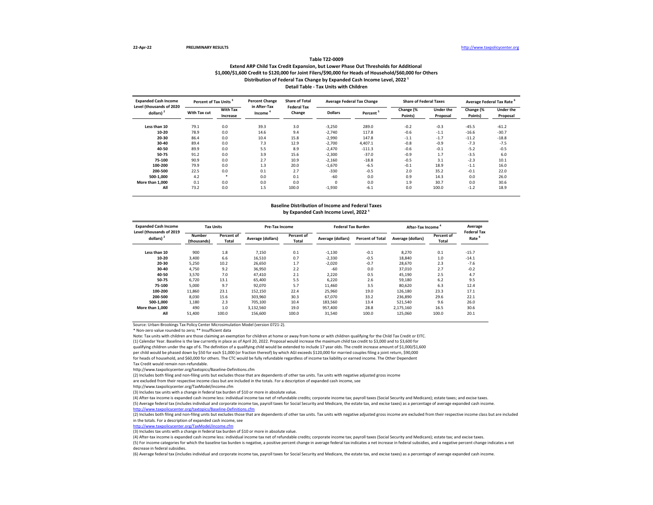## **Extend ARP Child Tax Credit Expansion, but Lower Phase Out Thresholds for Additional \$1,000/\$1,600 Credit to \$120,000 for Joint Filers/\$90,000 for Heads of Household/\$60,000 for Others Table T22-0009 Distribution of Federal Tax Change by Expanded Cash Income Level, 2022 ¹ Detail Table - Tax Units with Children**

| <b>Expanded Cash Income</b><br>Level (thousands of 2020 | Percent of Tax Units <sup>3</sup> |                             | <b>Percent Change</b><br>in After-Tax | <b>Share of Total</b><br><b>Federal Tax</b> |                | <b>Average Federal Tax Change</b> | <b>Share of Federal Taxes</b> |                              | Average Federal Tax Rate <sup>6</sup> |                       |
|---------------------------------------------------------|-----------------------------------|-----------------------------|---------------------------------------|---------------------------------------------|----------------|-----------------------------------|-------------------------------|------------------------------|---------------------------------------|-----------------------|
| dollars) <sup>2</sup>                                   | With Tax cut                      | <b>With Tax</b><br>Increase | Income                                | Change                                      | <b>Dollars</b> | Percent <sup>3</sup>              | Change (%<br>Points)          | <b>Under the</b><br>Proposal | Change (%<br>Points)                  | Under the<br>Proposal |
| Less than 10                                            | 79.1                              | 0.0                         | 39.3                                  | 3.0                                         | $-3,250$       | 289.0                             | $-0.2$                        | $-0.3$                       | $-45.5$                               | $-61.2$               |
| 10-20                                                   | 78.9                              | 0.0                         | 14.6                                  | 9.4                                         | $-2,740$       | 117.8                             | $-0.6$                        | $-1.1$                       | $-16.6$                               | $-30.7$               |
| 20-30                                                   | 86.4                              | 0.0                         | 10.4                                  | 15.8                                        | $-2,990$       | 147.8                             | $-1.1$                        | $-1.7$                       | $-11.2$                               | $-18.8$               |
| 30-40                                                   | 89.4                              | 0.0                         | 7.3                                   | 12.9                                        | $-2,700$       | 4.407.1                           | $-0.8$                        | $-0.9$                       | $-7.3$                                | $-7.5$                |
| 40-50                                                   | 89.9                              | 0.0                         | 5.5                                   | 8.9                                         | $-2.470$       | $-111.3$                          | $-0.6$                        | $-0.1$                       | $-5.2$                                | $-0.5$                |
| 50-75                                                   | 91.2                              | 0.0                         | 3.9                                   | 15.6                                        | $-2,300$       | $-37.0$                           | $-0.9$                        | 1.7                          | $-3.5$                                | 6.0                   |
| 75-100                                                  | 90.9                              | 0.0                         | 2.7                                   | 10.9                                        | $-2,160$       | $-18.8$                           | $-0.5$                        | 3.1                          | $-2.3$                                | 10.1                  |
| 100-200                                                 | 79.9                              | 0.0                         | 1.3                                   | 20.0                                        | $-1,670$       | $-6.5$                            | $-0.1$                        | 18.9                         | $-1.1$                                | 16.0                  |
| 200-500                                                 | 22.5                              | 0.0                         | 0.1                                   | 2.7                                         | $-330$         | $-0.5$                            | 2.0                           | 35.2                         | $-0.1$                                | 22.0                  |
| 500-1.000                                               | 4.2                               | $\ast$                      | 0.0                                   | 0.1                                         | $-60$          | 0.0                               | 0.9                           | 14.3                         | 0.0                                   | 26.0                  |
| More than 1.000                                         | 0.1                               | 0.0                         | 0.0                                   | 0.0                                         | $\Omega$       | 0.0                               | 1.9                           | 30.7                         | 0.0                                   | 30.6                  |
| All                                                     | 73.2                              | 0.0                         | 1.5                                   | 100.0                                       | $-1,930$       | $-6.1$                            | 0.0                           | 100.0                        | $-1.2$                                | 18.9                  |

#### **Baseline Distribution of Income and Federal Taxes** by Expanded Cash Income Level, 2022<sup>1</sup>

| <b>Expanded Cash Income</b><br>Level (thousands of 2019 | <b>Tax Units</b>      |                     | Pre-Tax Income    |                            | <b>Federal Tax Burden</b> |                         | After-Tax Income  |                     | Average<br><b>Federal Tax</b> |
|---------------------------------------------------------|-----------------------|---------------------|-------------------|----------------------------|---------------------------|-------------------------|-------------------|---------------------|-------------------------------|
| dollars) <sup>2</sup>                                   | Number<br>(thousands) | Percent of<br>Total | Average (dollars) | Percent of<br><b>Total</b> | Average (dollars)         | <b>Percent of Total</b> | Average (dollars) | Percent of<br>Total | Rate <sup>o</sup>             |
| Less than 10                                            | 900                   | 1.8                 | 7.150             | 0.1                        | $-1,130$                  | $-0.1$                  | 8,270             | 0.1                 | $-15.7$                       |
| 10-20                                                   | 3.400                 | 6.6                 | 16.510            | 0.7                        | $-2.330$                  | $-0.5$                  | 18,840            | 1.0                 | $-14.1$                       |
| 20-30                                                   | 5.250                 | 10.2                | 26.650            | 1.7                        | $-2.020$                  | $-0.7$                  | 28.670            | 2.3                 | $-7.6$                        |
| 30-40                                                   | 4,750                 | 9.2                 | 36,950            | 2.2                        | $-60$                     | 0.0                     | 37.010            | 2.7                 | $-0.2$                        |
| 40-50                                                   | 3,570                 | 7.0                 | 47.410            | 2.1                        | 2.220                     | 0.5                     | 45.190            | 2.5                 | 4.7                           |
| 50-75                                                   | 6,720                 | 13.1                | 65.400            | 5.5                        | 6.220                     | 2.6                     | 59,180            | 6.2                 | 9.5                           |
| 75-100                                                  | 5.000                 | 9.7                 | 92.070            | 5.7                        | 11.460                    | 3.5                     | 80.620            | 6.3                 | 12.4                          |
| 100-200                                                 | 11,860                | 23.1                | 152,150           | 22.4                       | 25,960                    | 19.0                    | 126,180           | 23.3                | 17.1                          |
| 200-500                                                 | 8,030                 | 15.6                | 303,960           | 30.3                       | 67.070                    | 33.2                    | 236.890           | 29.6                | 22.1                          |
| 500-1.000                                               | 1,180                 | 2.3                 | 705.100           | 10.4                       | 183.560                   | 13.4                    | 521.540           | 9.6                 | 26.0                          |
| More than 1.000                                         | 490                   | 1.0                 | 3,132,560         | 19.0                       | 957.400                   | 28.8                    | 2,175,160         | 16.5                | 30.6                          |
| All                                                     | 51.400                | 100.0               | 156,600           | 100.0                      | 31.540                    | 100.0                   | 125.060           | 100.0               | 20.1                          |

Source: Urban-Brookings Tax Policy Center Microsimulation Model (version 0721-2).

\* Non-zero value rounded to zero; \*\* Insufficient data

Note: Tax units with children are those claiming an exemption for children at home or away from home or with children qualifying for the Child Tax Credit or EITC. (1) Calendar Year. Baseline is the law currently in place as of April 20, 2022. Proposal would increase the maximum child tax credit to \$3,000 and to \$3,600 for qualifying children under the age of 6. The definition of a qualifying child would be extended to include 17 year olds. The credit increase amount of \$1,000/\$1,600 per child would be phased down by \$50 for each \$1,000 (or fraction thereof) by which AGI exceeds \$120,000 for married couples filing a joint return, \$90,000 for heads of household, and \$60,000 for others. The CTC would be fully refundable regardless of income tax liability or earned income. The Other Dependent Tax Credit would remain non-refundable.

http://www.taxpolicycenter.org/taxtopics/Baseline-Definitions.cfm

(2) Includes both filing and non-filing units but excludes those that are dependents of other tax units. Tax units with negative adjusted gross income

are excluded from their respective income class but are included in the totals. For a description of expanded cash income, see

http://www.taxpolicycenter.org/TaxModel/income.cfm

(3) Includes tax units with a change in federal tax burden of \$10 or more in absolute value.

(4) After-tax income is expanded cash income less: individual income tax net of refundable credits; corporate income tax; payroll taxes (Social Security and Medicare); estate taxes; and excise taxes.

(5) Average federal tax (includes individual and corporate income tax, payroll taxes for Social Security and Medicare, the estate tax, and excise taxes) as a percentage of average expanded cash income. <http://www.taxpolicycenter.org/taxtopics/Baseline-Definitions.cfm>

(2) Includes both filing and non-filing units but excludes those that are dependents of other tax units. Tax units with negative adjusted gross income are excluded from their respective income class but are included in the totals. For a description of expanded cash income, see

[http://www.taxpolicycente](http://www.taxpolicycenter.org/TaxModel/income.cfm)r.org/TaxModel/income.cfm

(3) Includes tax units with a change in federal tax burden of \$10 or more in absolute value.

(4) After-tax income is expanded cash income less: individual income tax net of refundable credits; corporate income tax; payroll taxes (Social Security and Medicare); estate tax; and excise taxes.

(5) For income categories for which the baseline tax burden is negative, a positive percent change in average federal tax indicates a net increase in federal subsidies, and a negative percent change indicates a net decrease in federal subsidies.